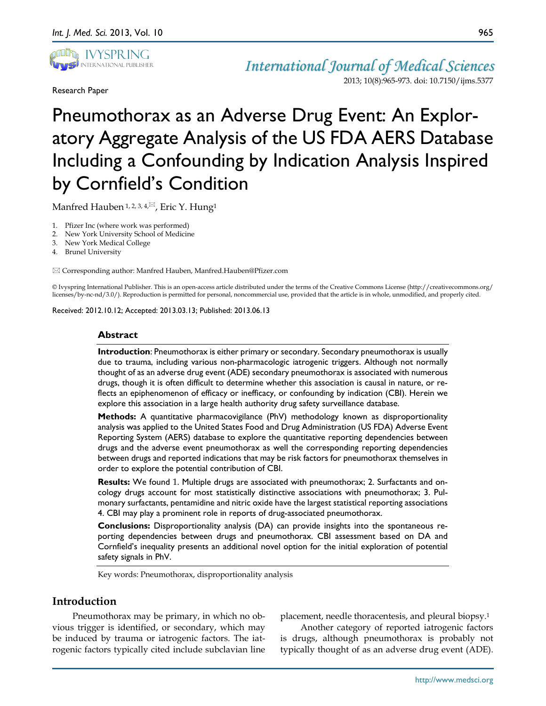

Research Paper

# Pneumothorax as an Adverse Drug Event: An Exploratory Aggregate Analysis of the US FDA AERS Database Including a Confounding by Indication Analysis Inspired by Cornfield's Condition

Manfred Hauben 1, 2, 3, 4, $\approx$ , Eric Y. Hung<sup>1</sup>

1. Pfizer Inc (where work was performed)

2. New York University School of Medicine

3. New York Medical College

4. Brunel University

Corresponding author: Manfred Hauben, Manfred.Hauben@Pfizer.com

© Ivyspring International Publisher. This is an open-access article distributed under the terms of the Creative Commons License (http://creativecommons.org/ licenses/by-nc-nd/3.0/). Reproduction is permitted for personal, noncommercial use, provided that the article is in whole, unmodified, and properly cited.

Received: 2012.10.12; Accepted: 2013.03.13; Published: 2013.06.13

#### **Abstract**

**Introduction**: Pneumothorax is either primary or secondary. Secondary pneumothorax is usually due to trauma, including various non-pharmacologic iatrogenic triggers. Although not normally thought of as an adverse drug event (ADE) secondary pneumothorax is associated with numerous drugs, though it is often difficult to determine whether this association is causal in nature, or reflects an epiphenomenon of efficacy or inefficacy, or confounding by indication (CBI). Herein we explore this association in a large health authority drug safety surveillance database.

**Methods:** A quantitative pharmacovigilance (PhV) methodology known as disproportionality analysis was applied to the United States Food and Drug Administration (US FDA) Adverse Event Reporting System (AERS) database to explore the quantitative reporting dependencies between drugs and the adverse event pneumothorax as well the corresponding reporting dependencies between drugs and reported indications that may be risk factors for pneumothorax themselves in order to explore the potential contribution of CBI.

**Results:** We found 1. Multiple drugs are associated with pneumothorax; 2. Surfactants and oncology drugs account for most statistically distinctive associations with pneumothorax; 3. Pulmonary surfactants, pentamidine and nitric oxide have the largest statistical reporting associations 4. CBI may play a prominent role in reports of drug-associated pneumothorax.

**Conclusions:** Disproportionality analysis (DA) can provide insights into the spontaneous reporting dependencies between drugs and pneumothorax. CBI assessment based on DA and Cornfield's inequality presents an additional novel option for the initial exploration of potential safety signals in PhV.

Key words: Pneumothorax, disproportionality analysis

## **Introduction**

Pneumothorax may be primary, in which no obvious trigger is identified, or secondary, which may be induced by trauma or iatrogenic factors. The iatrogenic factors typically cited include subclavian line placement, needle thoracentesis, and pleural biopsy.1

Another category of reported iatrogenic factors is drugs, although pneumothorax is probably not typically thought of as an adverse drug event (ADE).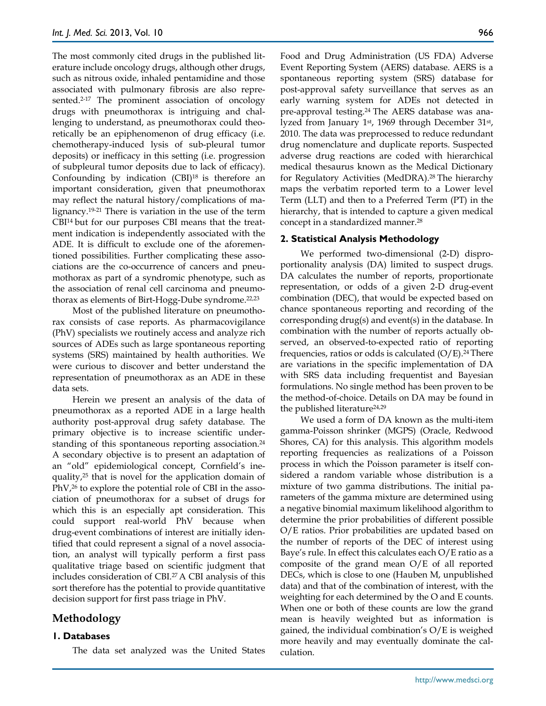The most commonly cited drugs in the published literature include oncology drugs, although other drugs, such as nitrous oxide, inhaled pentamidine and those associated with pulmonary fibrosis are also represented.<sup>2-17</sup> The prominent association of oncology drugs with pneumothorax is intriguing and challenging to understand, as pneumothorax could theoretically be an epiphenomenon of drug efficacy (i.e. chemotherapy-induced lysis of sub-pleural tumor deposits) or inefficacy in this setting (i.e. progression of subpleural tumor deposits due to lack of efficacy). Confounding by indication  $(CBI)^{18}$  is therefore an important consideration, given that pneumothorax may reflect the natural history/complications of malignancy.19-21 There is variation in the use of the term CBI14 but for our purposes CBI means that the treatment indication is independently associated with the ADE. It is difficult to exclude one of the aforementioned possibilities. Further complicating these associations are the co-occurrence of cancers and pneumothorax as part of a syndromic phenotype, such as the association of renal cell carcinoma and pneumothorax as elements of Birt-Hogg-Dube syndrome.22,23

Most of the published literature on pneumothorax consists of case reports. As pharmacovigilance (PhV) specialists we routinely access and analyze rich sources of ADEs such as large spontaneous reporting systems (SRS) maintained by health authorities. We were curious to discover and better understand the representation of pneumothorax as an ADE in these data sets.

Herein we present an analysis of the data of pneumothorax as a reported ADE in a large health authority post-approval drug safety database. The primary objective is to increase scientific understanding of this spontaneous reporting association.<sup>24</sup> A secondary objective is to present an adaptation of an "old" epidemiological concept, Cornfield's inequality,25 that is novel for the application domain of PhV,<sup>26</sup> to explore the potential role of CBI in the association of pneumothorax for a subset of drugs for which this is an especially apt consideration. This could support real-world PhV because when drug-event combinations of interest are initially identified that could represent a signal of a novel association, an analyst will typically perform a first pass qualitative triage based on scientific judgment that includes consideration of CBI.27 A CBI analysis of this sort therefore has the potential to provide quantitative decision support for first pass triage in PhV.

## **Methodology**

## **1. Databases**

The data set analyzed was the United States

Food and Drug Administration (US FDA) Adverse Event Reporting System (AERS) database. AERS is a spontaneous reporting system (SRS) database for post-approval safety surveillance that serves as an early warning system for ADEs not detected in pre-approval testing.<sup>24</sup> The AERS database was analyzed from January 1<sup>st</sup>, 1969 through December 31<sup>st</sup>, 2010. The data was preprocessed to reduce redundant drug nomenclature and duplicate reports. Suspected adverse drug reactions are coded with hierarchical medical thesaurus known as the Medical Dictionary for Regulatory Activities (MedDRA).28 The hierarchy maps the verbatim reported term to a Lower level Term (LLT) and then to a Preferred Term (PT) in the hierarchy, that is intended to capture a given medical concept in a standardized manner.28

#### **2. Statistical Analysis Methodology**

We performed two-dimensional (2-D) disproportionality analysis (DA) limited to suspect drugs. DA calculates the number of reports, proportionate representation, or odds of a given 2-D drug-event combination (DEC), that would be expected based on chance spontaneous reporting and recording of the corresponding drug(s) and event(s) in the database. In combination with the number of reports actually observed, an observed-to-expected ratio of reporting frequencies, ratios or odds is calculated  $(O/E)$ .<sup>24</sup> There are variations in the specific implementation of DA with SRS data including frequentist and Bayesian formulations. No single method has been proven to be the method-of-choice. Details on DA may be found in the published literature<sup>24,29</sup>

We used a form of DA known as the multi-item gamma-Poisson shrinker (MGPS) (Oracle, Redwood Shores, CA) for this analysis. This algorithm models reporting frequencies as realizations of a Poisson process in which the Poisson parameter is itself considered a random variable whose distribution is a mixture of two gamma distributions. The initial parameters of the gamma mixture are determined using a negative binomial maximum likelihood algorithm to determine the prior probabilities of different possible O/E ratios. Prior probabilities are updated based on the number of reports of the DEC of interest using Baye's rule. In effect this calculates each O/E ratio as a composite of the grand mean O/E of all reported DECs, which is close to one (Hauben M, unpublished data) and that of the combination of interest, with the weighting for each determined by the O and E counts. When one or both of these counts are low the grand mean is heavily weighted but as information is gained, the individual combination's O/E is weighed more heavily and may eventually dominate the calculation.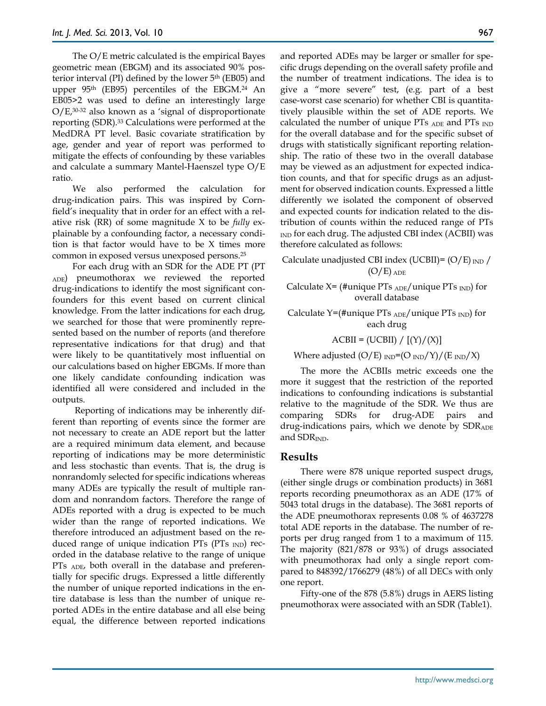The O/E metric calculated is the empirical Bayes geometric mean (EBGM) and its associated 90% posterior interval (PI) defined by the lower 5<sup>th</sup> (EB05) and upper 95th (EB95) percentiles of the EBGM.24 An EB05>2 was used to define an interestingly large  $O/E<sub>1</sub><sup>30-32</sup>$  also known as a 'signal of disproportionate reporting (SDR).33 Calculations were performed at the MedDRA PT level. Basic covariate stratification by age, gender and year of report was performed to mitigate the effects of confounding by these variables and calculate a summary Mantel-Haenszel type O/E ratio.

We also performed the calculation for drug-indication pairs. This was inspired by Cornfield's inequality that in order for an effect with a relative risk (RR) of some magnitude X to be *fully* explainable by a confounding factor, a necessary condition is that factor would have to be X times more common in exposed versus unexposed persons.25

For each drug with an SDR for the ADE PT (PT ADE) pneumothorax we reviewed the reported drug-indications to identify the most significant confounders for this event based on current clinical knowledge. From the latter indications for each drug, we searched for those that were prominently represented based on the number of reports (and therefore representative indications for that drug) and that were likely to be quantitatively most influential on our calculations based on higher EBGMs. If more than one likely candidate confounding indication was identified all were considered and included in the outputs.

Reporting of indications may be inherently different than reporting of events since the former are not necessary to create an ADE report but the latter are a required minimum data element, and because reporting of indications may be more deterministic and less stochastic than events. That is, the drug is nonrandomly selected for specific indications whereas many ADEs are typically the result of multiple random and nonrandom factors. Therefore the range of ADEs reported with a drug is expected to be much wider than the range of reported indications. We therefore introduced an adjustment based on the reduced range of unique indication PTs ( $PTs$   $_{\text{IND}}$ ) recorded in the database relative to the range of unique PTs ADE, both overall in the database and preferentially for specific drugs. Expressed a little differently the number of unique reported indications in the entire database is less than the number of unique reported ADEs in the entire database and all else being equal, the difference between reported indications and reported ADEs may be larger or smaller for specific drugs depending on the overall safety profile and the number of treatment indications. The idea is to give a "more severe" test, (e.g. part of a best case-worst case scenario) for whether CBI is quantitatively plausible within the set of ADE reports. We calculated the number of unique PTs ADE and PTs IND for the overall database and for the specific subset of drugs with statistically significant reporting relationship. The ratio of these two in the overall database may be viewed as an adjustment for expected indication counts, and that for specific drugs as an adjustment for observed indication counts. Expressed a little differently we isolated the component of observed and expected counts for indication related to the distribution of counts within the reduced range of PTs IND for each drug. The adjusted CBI index (ACBII) was therefore calculated as follows:

Calculate unadjusted CBI index (UCBII)=  $(O/E)_{\text{IND}}/$  $(O/E)$  ADE

Calculate  $X=$  (#unique PTs  $_{ADE}/$  unique PTs  $_{IND}$ ) for overall database

Calculate  $Y=(\text{\#unique} \, PTs \,_{ADE}/$  unique  $PTs \,_{ND})$  for each drug

 $ACBII = (UCBII) / [(Y)/(X)]$ 

Where adjusted  $(O/E)_{IND}=(O_{IND}/Y)/(E_{IND}/X)$ 

The more the ACBIIs metric exceeds one the more it suggest that the restriction of the reported indications to confounding indications is substantial relative to the magnitude of the SDR. We thus are comparing SDRs for drug-ADE pairs and drug-indications pairs, which we denote by  $SDR_{ADE}$ and SDR<sub>IND</sub>.

#### **Results**

There were 878 unique reported suspect drugs, (either single drugs or combination products) in 3681 reports recording pneumothorax as an ADE (17% of 5043 total drugs in the database). The 3681 reports of the ADE pneumothorax represents 0.08 % of 4637278 total ADE reports in the database. The number of reports per drug ranged from 1 to a maximum of 115. The majority (821/878 or 93%) of drugs associated with pneumothorax had only a single report compared to 848392/1766279 (48%) of all DECs with only one report.

Fifty-one of the 878 (5.8%) drugs in AERS listing pneumothorax were associated with an SDR (Table1).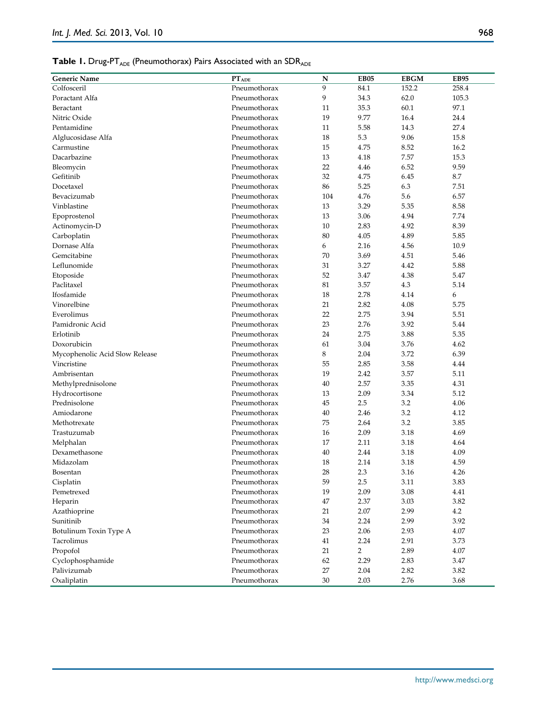Table 1. Drug-PT<sub>ADE</sub> (Pneumothorax) Pairs Associated with an SDR<sub>ADE</sub>

| <b>Generic Name</b>            | <b>PTADE</b> | N   | <b>EB05</b>    | <b>EBGM</b> | <b>EB95</b> |
|--------------------------------|--------------|-----|----------------|-------------|-------------|
| Colfosceril                    | Pneumothorax | 9   | 84.1           | 152.2       | 258.4       |
| Poractant Alfa                 | Pneumothorax | 9   | 34.3           | 62.0        | 105.3       |
| Beractant                      | Pneumothorax | 11  | 35.3           | 60.1        | 97.1        |
| Nitric Oxide                   | Pneumothorax | 19  | 9.77           | 16.4        | 24.4        |
| Pentamidine                    | Pneumothorax | 11  | 5.58           | 14.3        | 27.4        |
| Alglucosidase Alfa             | Pneumothorax | 18  | 5.3            | 9.06        | 15.8        |
| Carmustine                     | Pneumothorax | 15  | 4.75           | 8.52        | 16.2        |
| Dacarbazine                    | Pneumothorax | 13  | 4.18           | 7.57        | 15.3        |
| Bleomycin                      | Pneumothorax | 22  | 4.46           | 6.52        | 9.59        |
| Gefitinib                      | Pneumothorax | 32  | 4.75           | 6.45        | 8.7         |
| Docetaxel                      | Pneumothorax | 86  | 5.25           | 6.3         | 7.51        |
| Bevacizumab                    | Pneumothorax | 104 | 4.76           | 5.6         | 6.57        |
| Vinblastine                    | Pneumothorax | 13  | 3.29           | 5.35        | 8.58        |
| Epoprostenol                   | Pneumothorax | 13  | 3.06           | 4.94        | 7.74        |
| Actinomycin-D                  | Pneumothorax | 10  | 2.83           | 4.92        | 8.39        |
| Carboplatin                    | Pneumothorax | 80  | 4.05           | 4.89        | 5.85        |
| Dornase Alfa                   | Pneumothorax | 6   | 2.16           | 4.56        | 10.9        |
| Gemcitabine                    | Pneumothorax | 70  | 3.69           | 4.51        | 5.46        |
| Leflunomide                    | Pneumothorax | 31  | 3.27           | 4.42        | 5.88        |
| Etoposide                      | Pneumothorax | 52  | 3.47           | 4.38        | 5.47        |
| Paclitaxel                     | Pneumothorax | 81  | 3.57           | 4.3         | 5.14        |
| Ifosfamide                     | Pneumothorax | 18  | 2.78           | 4.14        | 6           |
| Vinorelbine                    | Pneumothorax | 21  | 2.82           | 4.08        | 5.75        |
| Everolimus                     | Pneumothorax | 22  | 2.75           | 3.94        | 5.51        |
| Pamidronic Acid                | Pneumothorax | 23  | 2.76           | 3.92        | 5.44        |
| Erlotinib                      | Pneumothorax | 24  | 2.75           | 3.88        | 5.35        |
| Doxorubicin                    | Pneumothorax | 61  | 3.04           | 3.76        | 4.62        |
| Mycophenolic Acid Slow Release | Pneumothorax | 8   | 2.04           | 3.72        | 6.39        |
| Vincristine                    | Pneumothorax | 55  | 2.85           | 3.58        | 4.44        |
| Ambrisentan                    | Pneumothorax | 19  | 2.42           | 3.57        | 5.11        |
| Methylprednisolone             | Pneumothorax | 40  | 2.57           | 3.35        | 4.31        |
| Hydrocortisone                 | Pneumothorax | 13  | 2.09           | 3.34        | 5.12        |
| Prednisolone                   | Pneumothorax | 45  | 2.5            | 3.2         | 4.06        |
| Amiodarone                     | Pneumothorax | 40  | 2.46           | 3.2         | 4.12        |
| Methotrexate                   | Pneumothorax | 75  | 2.64           | 3.2         | 3.85        |
| Trastuzumab                    | Pneumothorax | 16  | 2.09           | 3.18        | 4.69        |
| Melphalan                      | Pneumothorax | 17  | 2.11           | 3.18        | 4.64        |
| Dexamethasone                  | Pneumothorax | 40  | 2.44           | 3.18        | 4.09        |
| Midazolam                      | Pneumothorax | 18  | 2.14           | 3.18        | 4.59        |
| Bosentan                       | Pneumothorax | 28  | 2.3            | 3.16        | 4.26        |
| Cisplatin                      | Pneumothorax | 59  | 2.5            | 3.11        | 3.83        |
| Pemetrexed                     | Pneumothorax | 19  | 2.09           | 3.08        | 4.41        |
| Heparin                        | Pneumothorax | 47  | 2.37           | 3.03        | 3.82        |
| Azathioprine                   | Pneumothorax | 21  | 2.07           | 2.99        | 4.2         |
| Sunitinib                      | Pneumothorax | 34  | 2.24           | 2.99        | 3.92        |
| Botulinum Toxin Type A         | Pneumothorax | 23  | 2.06           | 2.93        | 4.07        |
| Tacrolimus                     | Pneumothorax | 41  | 2.24           | 2.91        | 3.73        |
| Propofol                       | Pneumothorax | 21  | $\overline{2}$ | 2.89        | 4.07        |
| Cyclophosphamide               | Pneumothorax | 62  | 2.29           | 2.83        | 3.47        |
| Palivizumab                    | Pneumothorax | 27  | 2.04           | 2.82        | 3.82        |
| Oxaliplatin                    | Pneumothorax | 30  | 2.03           | 2.76        | 3.68        |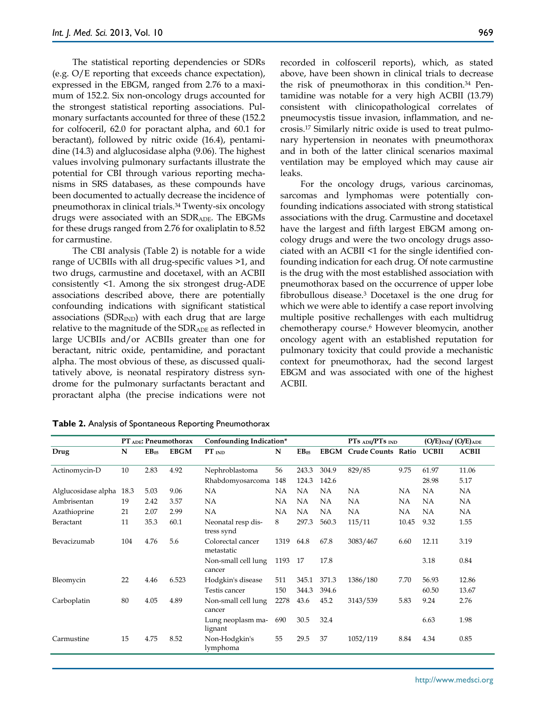The statistical reporting dependencies or SDRs (e.g. O/E reporting that exceeds chance expectation), expressed in the EBGM, ranged from 2.76 to a maximum of 152.2. Six non-oncology drugs accounted for the strongest statistical reporting associations. Pulmonary surfactants accounted for three of these (152.2 for colfoceril, 62.0 for poractant alpha, and 60.1 for beractant), followed by nitric oxide (16.4), pentamidine (14.3) and alglucosidase alpha (9.06). The highest values involving pulmonary surfactants illustrate the potential for CBI through various reporting mechanisms in SRS databases, as these compounds have been documented to actually decrease the incidence of pneumothorax in clinical trials.34 Twenty-six oncology drugs were associated with an  $SDR_{ADE}$ . The EBGMs for these drugs ranged from 2.76 for oxaliplatin to 8.52 for carmustine.

The CBI analysis (Table 2) is notable for a wide range of UCBIIs with all drug-specific values >1, and two drugs, carmustine and docetaxel, with an ACBII consistently <1. Among the six strongest drug-ADE associations described above, there are potentially confounding indications with significant statistical associations ( $SDR<sub>IND</sub>$ ) with each drug that are large relative to the magnitude of the  $SDR_{ADE}$  as reflected in large UCBIIs and/or ACBIIs greater than one for beractant, nitric oxide, pentamidine, and poractant alpha. The most obvious of these, as discussed qualitatively above, is neonatal respiratory distress syndrome for the pulmonary surfactants beractant and proractant alpha (the precise indications were not

recorded in colfosceril reports), which, as stated above, have been shown in clinical trials to decrease the risk of pneumothorax in this condition.34 Pentamidine was notable for a very high ACBII (13.79) consistent with clinicopathological correlates of pneumocystis tissue invasion, inflammation, and necrosis.17 Similarly nitric oxide is used to treat pulmonary hypertension in neonates with pneumothorax and in both of the latter clinical scenarios maximal ventilation may be employed which may cause air leaks.

For the oncology drugs, various carcinomas, sarcomas and lymphomas were potentially confounding indications associated with strong statistical associations with the drug. Carmustine and docetaxel have the largest and fifth largest EBGM among oncology drugs and were the two oncology drugs associated with an ACBII <1 for the single identified confounding indication for each drug. Of note carmustine is the drug with the most established association with pneumothorax based on the occurrence of upper lobe fibrobullous disease.3 Docetaxel is the one drug for which we were able to identify a case report involving multiple positive rechallenges with each multidrug chemotherapy course.6 However bleomycin, another oncology agent with an established reputation for pulmonary toxicity that could provide a mechanistic context for pneumothorax, had the second largest EBGM and was associated with one of the highest ACBII.

| PT ADE: Pneumothorax |      |           | Confounding Indication* |                                  |           |           | PTS ADE/PTS IND |                    | $(O/E)_{IND}/(O/E)_{ADE}$ |              |              |
|----------------------|------|-----------|-------------------------|----------------------------------|-----------|-----------|-----------------|--------------------|---------------------------|--------------|--------------|
| Drug                 | N    | $EB_{05}$ | <b>EBGM</b>             | $PT$ <sub>IND</sub>              | N         | $EB_{05}$ | <b>EBGM</b>     | Crude Counts Ratio |                           | <b>UCBII</b> | <b>ACBII</b> |
| Actinomycin-D        | 10   | 2.83      | 4.92                    | Nephroblastoma                   | 56        | 243.3     | 304.9           | 829/85             | 9.75                      | 61.97        | 11.06        |
|                      |      |           |                         | Rhabdomyosarcoma                 | 148       | 124.3     | 142.6           |                    |                           | 28.98        | 5.17         |
| Alglucosidase alpha  | 18.3 | 5.03      | 9.06                    | NA.                              | <b>NA</b> | NA        | NA.             | <b>NA</b>          | <b>NA</b>                 | NA           | <b>NA</b>    |
| Ambrisentan          | 19   | 2.42      | 3.57                    | <b>NA</b>                        | NA        | NA        | NA.             | <b>NA</b>          | <b>NA</b>                 | <b>NA</b>    | <b>NA</b>    |
| Azathioprine         | 21   | 2.07      | 2.99                    | <b>NA</b>                        | <b>NA</b> | <b>NA</b> | NA.             | <b>NA</b>          | <b>NA</b>                 | <b>NA</b>    | <b>NA</b>    |
| Beractant            | 11   | 35.3      | 60.1                    | Neonatal resp dis-<br>tress synd | 8         | 297.3     | 560.3           | 115/11             | 10.45                     | 9.32         | 1.55         |
| Bevacizumab          | 104  | 4.76      | 5.6                     | Colorectal cancer<br>metastatic  | 1319      | 64.8      | 67.8            | 3083/467           | 6.60                      | 12.11        | 3.19         |
|                      |      |           |                         | Non-small cell lung<br>cancer    | 1193      | -17       | 17.8            |                    |                           | 3.18         | 0.84         |
| Bleomycin            | 22   | 4.46      | 6.523                   | Hodgkin's disease                | 511       | 345.1     | 371.3           | 1386/180           | 7.70                      | 56.93        | 12.86        |
|                      |      |           |                         | Testis cancer                    | 150       | 344.3     | 394.6           |                    |                           | 60.50        | 13.67        |
| Carboplatin          | 80   | 4.05      | 4.89                    | Non-small cell lung<br>cancer    | 2278      | 43.6      | 45.2            | 3143/539           | 5.83                      | 9.24         | 2.76         |
|                      |      |           |                         | Lung neoplasm ma-<br>lignant     | 690       | 30.5      | 32.4            |                    |                           | 6.63         | 1.98         |
| Carmustine           | 15   | 4.75      | 8.52                    | Non-Hodgkin's<br>lymphoma        | 55        | 29.5      | 37              | 1052/119           | 8.84                      | 4.34         | 0.85         |

**Table 2.** Analysis of Spontaneous Reporting Pneumothorax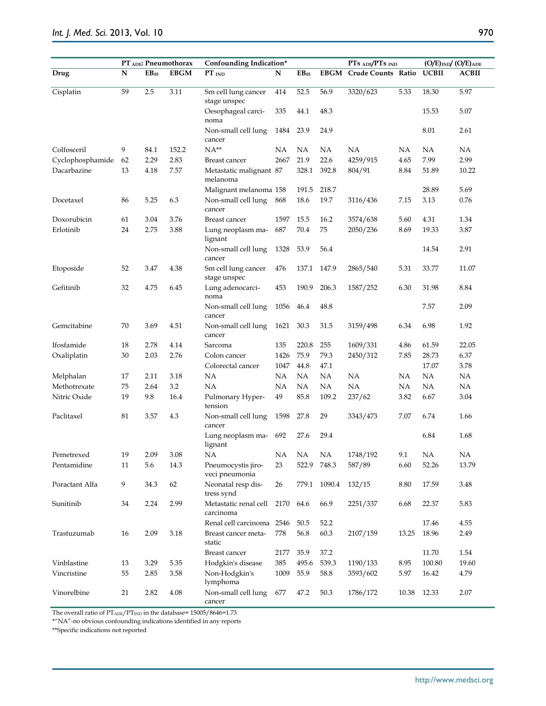|                  | PT ADE: Pneumothorax |           |             | Confounding Indication*              |          |           |              | PTs ADE/PTs IND                |       | $(O/E)_{IND}/(O/E)_{ADE}$ |              |
|------------------|----------------------|-----------|-------------|--------------------------------------|----------|-----------|--------------|--------------------------------|-------|---------------------------|--------------|
| Drug             | N                    | $EB_{05}$ | <b>EBGM</b> | PT IND                               | N        | $EB_{05}$ |              | <b>EBGM</b> Crude Counts Ratio |       | <b>UCBII</b>              | <b>ACBII</b> |
| Cisplatin        | 59                   | 2.5       | 3.11        | Sm cell lung cancer<br>stage unspec  | 414      | 52.5      | 56.9         | 3320/623                       | 5.33  | 18.30                     | 5.97         |
|                  |                      |           |             | Oesophageal carci-<br>noma           | 335      | 44.1      | 48.3         |                                |       | 15.53                     | 5.07         |
|                  |                      |           |             | Non-small cell lung<br>cancer        | 1484     | 23.9      | 24.9         |                                |       | 8.01                      | 2.61         |
| Colfosceril      | 9                    | 84.1      | 152.2       | $NA**$                               | NA       | <b>NA</b> | NA           | <b>NA</b>                      | NA    | NA                        | NA.          |
| Cyclophosphamide | 62                   | 2.29      | 2.83        | Breast cancer                        | 2667     | 21.9      | 22.6         | 4259/915                       | 4.65  | 7.99                      | 2.99         |
| Dacarbazine      | 13                   | 4.18      | 7.57        | Metastatic malignant 87<br>melanoma  |          | 328.1     | 392.8        | 804/91                         | 8.84  | 51.89                     | 10.22        |
|                  |                      |           |             | Malignant melanoma 158               |          | 191.5     | 218.7        |                                |       | 28.89                     | 5.69         |
| Docetaxel        | 86                   | 5.25      | 6.3         | Non-small cell lung<br>cancer        | 868      | 18.6      | 19.7         | 3116/436                       | 7.15  | 3.13                      | 0.76         |
| Doxorubicin      | 61                   | 3.04      | 3.76        | <b>Breast cancer</b>                 | 1597     | 15.5      | 16.2         | 3574/638                       | 5.60  | 4.31                      | 1.34         |
| Erlotinib        | 24                   | 2.75      | 3.88        | Lung neoplasm ma-<br>lignant         | 687      | 70.4      | 75           | 2050/236                       | 8.69  | 19.33                     | 3.87         |
|                  |                      |           |             | Non-small cell lung<br>cancer        | 1328     | 53.9      | 56.4         |                                |       | 14.54                     | 2.91         |
| Etoposide        | 52                   | 3.47      | 4.38        | Sm cell lung cancer<br>stage unspec  | 476      | 137.1     | 147.9        | 2865/540                       | 5.31  | 33.77                     | 11.07        |
| Gefitinib        | 32                   | 4.75      | 6.45        | Lung adenocarci-<br>noma             | 453      | 190.9     | 206.3        | 1587/252                       | 6.30  | 31.98                     | 8.84         |
|                  |                      |           |             | Non-small cell lung<br>cancer        | 1056     | 46.4      | 48.8         |                                |       | 7.57                      | 2.09         |
| Gemcitabine      | 70                   | 3.69      | 4.51        | Non-small cell lung<br>cancer        | 1621     | 30.3      | 31.5         | 3159/498                       | 6.34  | 6.98                      | 1.92         |
| Ifosfamide       | 18                   | 2.78      | 4.14        | Sarcoma                              | 135      | 220.8     | 255          | 1609/331                       | 4.86  | 61.59                     | 22.05        |
| Oxaliplatin      | 30                   | 2.03      | 2.76        | Colon cancer                         | 1426     | 75.9      | 79.3         | 2450/312                       | 7.85  | 28.73                     | 6.37         |
|                  |                      |           |             | Colorectal cancer                    | 1047     | 44.8      | 47.1         |                                |       | 17.07                     | 3.78         |
| Melphalan        | 17                   | 2.11      | 3.18        | NA                                   | NA       | <b>NA</b> | NA           | NA                             | NA    | NA                        | <b>NA</b>    |
| Methotrexate     | 75                   | 2.64      | 3.2         | NA                                   | NA       | <b>NA</b> | NA           | NA                             | NA    | NA                        | NA           |
| Nitric Oxide     | 19                   | 9.8       | 16.4        | Pulmonary Hyper-<br>tension          | 49       | 85.8      | 109.2        | 237/62                         | 3.82  | 6.67                      | 3.04         |
| Paclitaxel       | 81                   | 3.57      | 4.3         | Non-small cell lung<br>cancer        | 1598     | 27.8      | 29           | 3343/473                       | 7.07  | 6.74                      | 1.66         |
|                  |                      |           |             | Lung neoplasm ma-<br>lignant         | 692      | 27.6      | 29.4         |                                |       | 6.84                      | 1.68         |
| Pemetrexed       | 19                   | 2.09      | 3.08        | $_{\rm NA}$                          | $\rm NA$ | $\rm NA$  | $_{\rm NA}$  | 1748/192                       | 9.1   | <b>NA</b>                 | $\rm NA$     |
| Pentamidine      | 11                   | 5.6       | 14.3        | Pneumocystis jiro-<br>veci pneumonia | 23       | 522.9     | 748.3        | 587/89                         | 6.60  | 52.26                     | 13.79        |
| Poractant Alfa   | 9                    | 34.3      | 62          | Neonatal resp dis-<br>tress synd     | 26       |           | 779.1 1090.4 | 132/15                         | 8.80  | 17.59                     | 3.48         |
| Sunitinib        | 34                   | 2.24      | 2.99        | Metastatic renal cell<br>carcinoma   | 2170     | 64.6      | 66.9         | 2251/337                       | 6.68  | 22.37                     | 5.83         |
|                  |                      |           |             | Renal cell carcinoma 2546            |          | 50.5      | 52.2         |                                |       | 17.46                     | 4.55         |
| Trastuzumab      | 16                   | 2.09      | 3.18        | Breast cancer meta-<br>static        | 778      | 56.8      | 60.3         | 2107/159                       | 13.25 | 18.96                     | 2.49         |
|                  |                      |           |             | Breast cancer                        | 2177     | 35.9      | 37.2         |                                |       | 11.70                     | 1.54         |
| Vinblastine      | 13                   | 3.29      | 5.35        | Hodgkin's disease                    | 385      | 495.6     | 539.3        | 1190/133                       | 8.95  | 100.80                    | 19.60        |
| Vincristine      | 55                   | 2.85      | 3.58        | Non-Hodgkin's<br>lymphoma            | 1009     | 55.9      | 58.8         | 3593/602                       | 5.97  | 16.42                     | 4.79         |
| Vinorelbine      | 21                   | 2.82      | 4.08        | Non-small cell lung<br>cancer        | 677      | 47.2      | 50.3         | 1786/172                       | 10.38 | 12.33                     | 2.07         |

The overall ratio of  $\text{PT}_{\text{ADE}}/\text{PT}_{\text{IND}}$  in the database= 15005/8646=1.73

\*"NA"-no obvious confounding indications identified in any reports

\*\*Specific indications not reported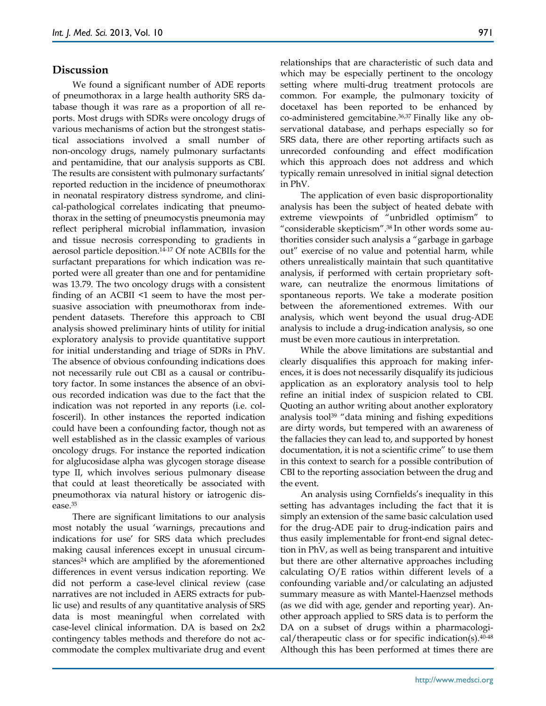## **Discussion**

We found a significant number of ADE reports of pneumothorax in a large health authority SRS database though it was rare as a proportion of all reports. Most drugs with SDRs were oncology drugs of various mechanisms of action but the strongest statistical associations involved a small number of non-oncology drugs, namely pulmonary surfactants and pentamidine, that our analysis supports as CBI. The results are consistent with pulmonary surfactants' reported reduction in the incidence of pneumothorax in neonatal respiratory distress syndrome, and clinical-pathological correlates indicating that pneumothorax in the setting of pneumocystis pneumonia may reflect peripheral microbial inflammation, invasion and tissue necrosis corresponding to gradients in aerosol particle deposition. 14-17 Of note ACBIIs for the surfactant preparations for which indication was reported were all greater than one and for pentamidine was 13.79. The two oncology drugs with a consistent finding of an ACBII <1 seem to have the most persuasive association with pneumothorax from independent datasets. Therefore this approach to CBI analysis showed preliminary hints of utility for initial exploratory analysis to provide quantitative support for initial understanding and triage of SDRs in PhV. The absence of obvious confounding indications does not necessarily rule out CBI as a causal or contributory factor. In some instances the absence of an obvious recorded indication was due to the fact that the indication was not reported in any reports (i.e. colfosceril). In other instances the reported indication could have been a confounding factor, though not as well established as in the classic examples of various oncology drugs. For instance the reported indication for alglucosidase alpha was glycogen storage disease type II, which involves serious pulmonary disease that could at least theoretically be associated with pneumothorax via natural history or iatrogenic disease.35

There are significant limitations to our analysis most notably the usual 'warnings, precautions and indications for use' for SRS data which precludes making causal inferences except in unusual circumstances<sup>24</sup> which are amplified by the aforementioned differences in event versus indication reporting. We did not perform a case-level clinical review (case narratives are not included in AERS extracts for public use) and results of any quantitative analysis of SRS data is most meaningful when correlated with case-level clinical information. DA is based on 2x2 contingency tables methods and therefore do not accommodate the complex multivariate drug and event

relationships that are characteristic of such data and which may be especially pertinent to the oncology setting where multi-drug treatment protocols are common. For example, the pulmonary toxicity of docetaxel has been reported to be enhanced by co-administered gemcitabine.36,37 Finally like any observational database, and perhaps especially so for SRS data, there are other reporting artifacts such as unrecorded confounding and effect modification which this approach does not address and which typically remain unresolved in initial signal detection in PhV.

The application of even basic disproportionality analysis has been the subject of heated debate with extreme viewpoints of "unbridled optimism" to "considerable skepticism".38 In other words some authorities consider such analysis a "garbage in garbage out" exercise of no value and potential harm, while others unrealistically maintain that such quantitative analysis, if performed with certain proprietary software, can neutralize the enormous limitations of spontaneous reports. We take a moderate position between the aforementioned extremes. With our analysis, which went beyond the usual drug-ADE analysis to include a drug-indication analysis, so one must be even more cautious in interpretation.

While the above limitations are substantial and clearly disqualifies this approach for making inferences, it is does not necessarily disqualify its judicious application as an exploratory analysis tool to help refine an initial index of suspicion related to CBI. Quoting an author writing about another exploratory analysis tool39 "data mining and fishing expeditions are dirty words, but tempered with an awareness of the fallacies they can lead to, and supported by honest documentation, it is not a scientific crime" to use them in this context to search for a possible contribution of CBI to the reporting association between the drug and the event.

An analysis using Cornfields's inequality in this setting has advantages including the fact that it is simply an extension of the same basic calculation used for the drug-ADE pair to drug-indication pairs and thus easily implementable for front-end signal detection in PhV, as well as being transparent and intuitive but there are other alternative approaches including calculating O/E ratios within different levels of a confounding variable and/or calculating an adjusted summary measure as with Mantel-Haenzsel methods (as we did with age, gender and reporting year). Another approach applied to SRS data is to perform the DA on a subset of drugs within a pharmacological/therapeutic class or for specific indication(s).40-48 Although this has been performed at times there are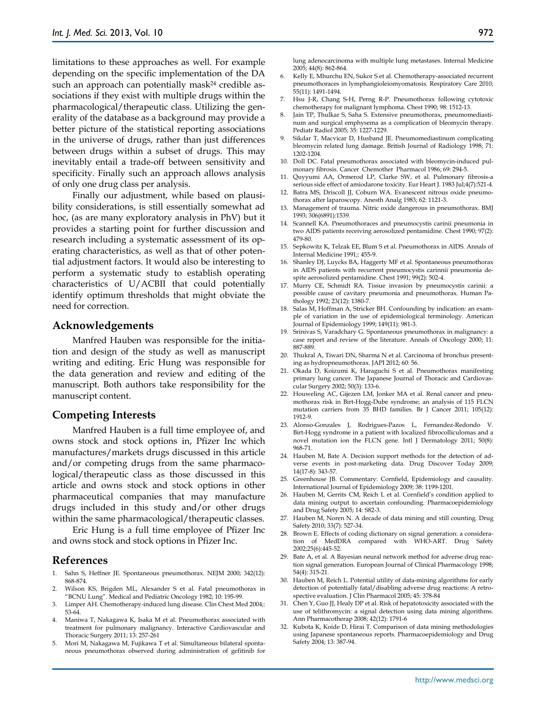limitations to these approaches as well. For example depending on the specific implementation of the DA such an approach can potentially mask<sup>24</sup> credible associations if they exist with multiple drugs within the pharmacological/therapeutic class. Utilizing the generality of the database as a background may provide a better picture of the statistical reporting associations in the universe of drugs, rather than just differences between drugs within a subset of drugs. This may inevitably entail a trade-off between sensitivity and specificity. Finally such an approach allows analysis of only one drug class per analysis.

Finally our adjustment, while based on plausibility considerations, is still essentially somewhat ad hoc, (as are many exploratory analysis in PhV) but it provides a starting point for further discussion and research including a systematic assessment of its operating characteristics, as well as that of other potential adjustment factors. It would also be interesting to perform a systematic study to establish operating characteristics of U/ACBII that could potentially identify optimum thresholds that might obviate the need for correction.

## **Acknowledgements**

Manfred Hauben was responsible for the initiation and design of the study as well as manuscript writing and editing. Eric Hung was responsible for the data generation and review and editing of the manuscript. Both authors take responsibility for the manuscript content.

#### **Competing Interests**

Manfred Hauben is a full time employee of, and owns stock and stock options in, Pfizer Inc which manufactures/markets drugs discussed in this article and/or competing drugs from the same pharmacological/therapeutic class as those discussed in this article and owns stock and stock options in other pharmaceutical companies that may manufacture drugs included in this study and/or other drugs within the same pharmacological/therapeutic classes.

Eric Hung is a full time employee of Pfizer Inc and owns stock and stock options in Pfizer Inc.

#### **References**

- 1. Sahn S, Heffner JE. Spontaneous pneumothorax. NEJM 2000; 342(12): 868-874.
- 2. Wilson KS, Brigden ML, Alexander S et al. Fatal pneumothorax in "BCNU Lung". Medical and Pediatric Oncology 1982; 10: 195-99.
- 3. Limper AH. Chemotherapy-induced lung disease. Clin Chest Med 2004;: 53-64.
- 4. Maniwa T, Nakagawa K, Isaka M et al. Pneumothorax associated with treatment for pulmonary malignancy. Interactive Cardiovascular and Thoracic Surgery 2011; 13: 257-261
- 5. Mori M, Nakagawa M, Fujikawa T et al. Simultaneous bilateral spontaneous pneumothorax observed during administration of gefitinib for

lung adenocarcinoma with multiple lung metastases. Internal Medicine 2005; 44(8): 862-864.

- 6. Kelly E, Mhurchu EN, Sukor S et al. Chemotherapy-associated recurrent pneumothoraces in lymphangioleiomyomatosis. Respiratory Care 2010; 55(11): 1491-1494.
- 7. Hsu J-R, Chang S-H, Perng R-P. Pneumothorax following cytotoxic chemotherapy for malignant lymphoma. Chest 1990; 98: 1512-13.
- 8. Jain TP, Thulkar S, Saha S. Extensive pneumothorax, pneumomediastinum and surgical emphysema as a complication of bleomycin therapy. Pediatr Radiol 2005; 35: 1227-1229.
- 9. Sikdar T, Macvicar D, Husband JE. Pneumomediastinum complicating bleomycin related lung damage. British Journal of Radiology 1998; 71: 1202-1204.
- 10. Doll DC. Fatal pneumothorax associated with bleomycin-induced pulmonary fibrosis. Cancer Chemother Pharmacol 1986; 69: 294-5.
- 11. Quyyumi AA, Ormerod LP, Clarke SW, et al. Pulmonary fibrosis-a serious side effect of amiodarone toxicity. Eur Heart J. 1983 Jul;4(7):521-4.
- 12. Batra MS, Driscoll JJ, Coburn WA. Evanescent nitrous oxide pneumothorax after laparoscopy. Anesth Analg 1983; 62: 1121-3.
- 13. Management of trauma. Nitric oxide dangerous in pneumothorax. BMJ 1993; 306(6891):1539.
- 14. Scannell KA. Pneumothoraces and pneumocystis carinii pneumonia in two AIDS patients receiving aerosolized pentamidine. Chest 1990; 97(2): 479-80.
- 15. Sepkowitz K, Telzak EE, Blum S et al. Pneumothorax in AIDS. Annals of Internal Medicine 1991;: 455-9.
- 16. Shanley DJ, Luycks BA, Haggerty MF et al. Spontaneous pneumothorax in AIDS patients with recurrent pneumocystis carinnii pneumonia despite aerosolized pentamidine. Chest 1991; 99(2): 502-4.
- 17. Murry CE, Schmidt RA. Tissue invasion by pneumocystis carinii: a possible cause of cavitary pneumonia and pneumothorax. Human Pathology 1992; 23(12): 1380-7.
- 18. Salas M, Hoffman A, Stricker BH. Confounding by indication: an example of variation in the use of epidemiological terminology. American Journal of Epidemiology 1999; 149(11): 981-3.
- 19. Srinivas S, Varadchary G. Spontaneous pneumothorax in malignancy: a case report and review of the literature. Annals of Oncology 2000; 11: 887-889.
- 20. Thukral A, Tiwari DN, Sharma N et al. Carcinoma of bronchus presenting as hydropneumothorax. JAPI 2012; 60: 56.
- 21. Okada D, Koizumi K, Haraguchi S et al. Pneumothorax manifesting primary lung cancer. The Japanese Journal of Thoracic and Cardiovascular Surgery 2002; 50(3): 133-6.
- 22. Houweling AC, Gijezen LM, Jonker MA et al. Renal cancer and pneumothorax risk in Birt-Hogg-Dube syndrome; an analysis of 115 FLCN mutation carriers from 35 BHD families. Br J Cancer 2011; 105(12): 1912-9.
- 23. Alonso-Gonzales J, Rodrigues-Pazos L, Fernandez-Redondo V. Birt-Hogg syndrome in a patient with localized fibrocolliculomas and a novel mutation ion the FLCN gene. Intl J Dermatology 2011; 50(8): 968-71.
- 24. Hauben M, Bate A. Decision support methods for the detection of adverse events in post-marketing data. Drug Discover Today 2009; 14(17-8): 343-57.
- 25. Greenhouse JB. Commentary: Cornfield, Epidemiology and causality. International Journal of Epidemiology 2009; 38: 1199-1201.
- 26. Hauben M, Gerrits CM, Reich L et al. Cornfield's condition applied to data mining output to ascertain confounding. Pharmacoepidemiology and Drug Safety 2005; 14: S82-3.
- 27. Hauben M, Noren N. A decade of data mining and still counting. Drug Safety 2010; 33(7): 527-34.
- 28. Brown E. Effects of coding dictionary on signal generation: a consideration of MedDRA compared with WHO-ART. Drug Safety 2002;25(6):445-52.
- 29. Bate A, et al. A Bayesian neural network method for adverse drug reaction signal generation. European Journal of Clinical Pharmacology 1998; 54(4): 315-21.
- 30. Hauben M, Reich L. Potential utility of data-mining algorithms for early detection of potentially fatal/disabling adverse drug reactions: A retrospective evaluation. J Clin Pharmacol 2005; 45: 378-84
- 31. Chen Y, Guo JJ, Healy DP et al. Risk of hepatotoxicity associated with the use of telithromycin: a signal detection using data mining algorithms. Ann Pharmacotherap 2008; 42(12): 1791-6
- 32. Kubota K, Koide D, Hirai T. Comparison of data mining methodologies using Japanese spontaneous reports. Pharmacoepidemiology and Drug Safety 2004; 13: 387-94.